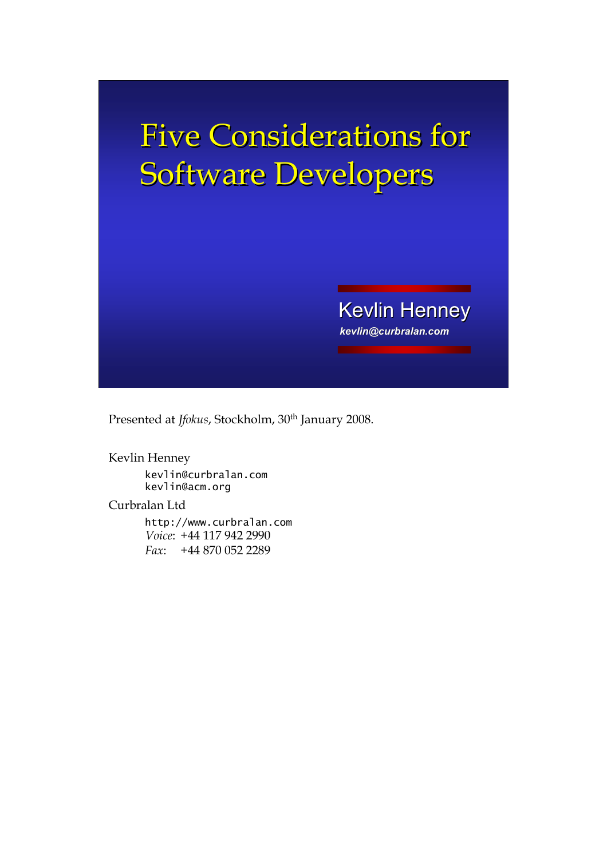# Five Considerations for Software Developers

*kevlin@curbralan.com* **Kevlin Henney** 

Presented at *Jfokus*, Stockholm, 30<sup>th</sup> January 2008.

Kevlin Henney kevlin@curbralan.com kevlin@acm.org

Curbralan Ltd

http://www.curbralan.com *Voice*: +44 117 942 2990 *Fax*: +44 870 052 2289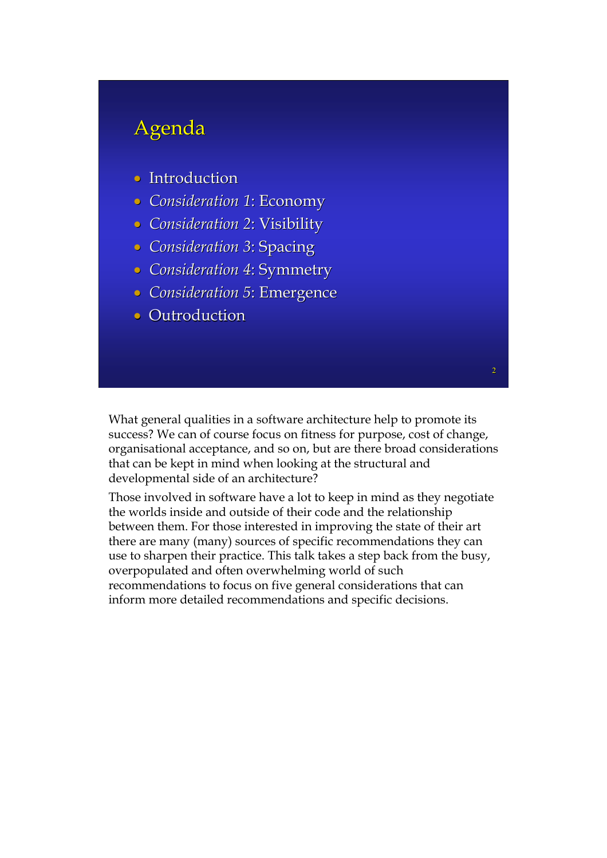### Agenda

- Introduction
- *Consideration 1 Consideration 1*: Economy : Economy
- *Consideration 2*: Visibility
- *Consideration 3*: Spacing
- *Consideration 4 Consideration 4*: Symmetry : Symmetry
- *Consideration 5 Consideration 5*: Emergence : Emergence
- Outroduction

What general qualities in a software architecture help to promote its success? We can of course focus on fitness for purpose, cost of change, organisational acceptance, and so on, but are there broad considerations that can be kept in mind when looking at the structural and developmental side of an architecture?

2

Those involved in software have a lot to keep in mind as they negotiate the worlds inside and outside of their code and the relationship between them. For those interested in improving the state of their art there are many (many) sources of specific recommendations they can use to sharpen their practice. This talk takes a step back from the busy, overpopulated and often overwhelming world of such recommendations to focus on five general considerations that can inform more detailed recommendations and specific decisions.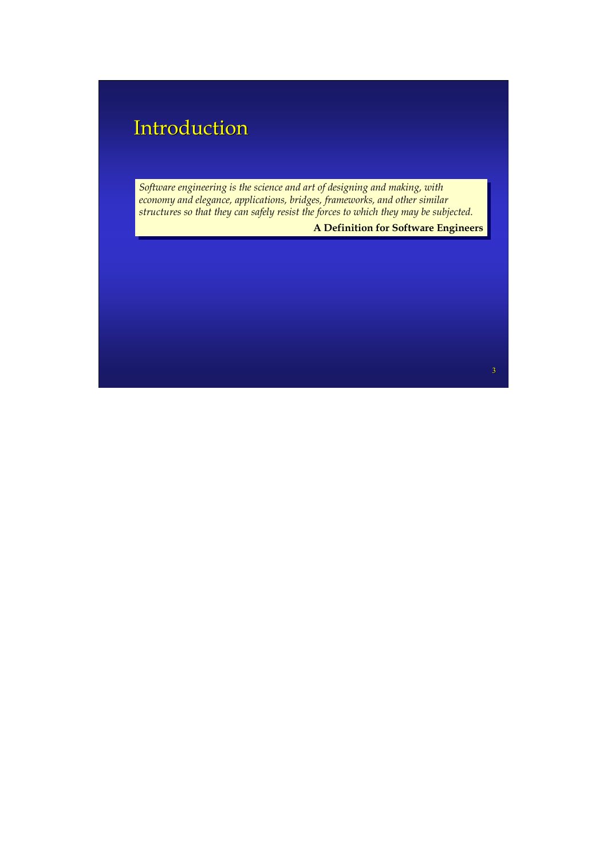### **Introduction**

*Structural engineering is the science and art of designing and making, with economy and elegance, buildings, bridges, frameworks, and other similar structures so that they can safely resist the forces to which they may be subjected. structures so that they can safely resist the forces to which they may be subjected. Structural engineering is the science and art of designing and making, with*  economy and elegance, applications, bridges, frameworks, and other simi *Software engineering is the science and art of designing and making, with applications, bridges, frameworks, and other similar* 

**A Definition for Software Engineers** 

3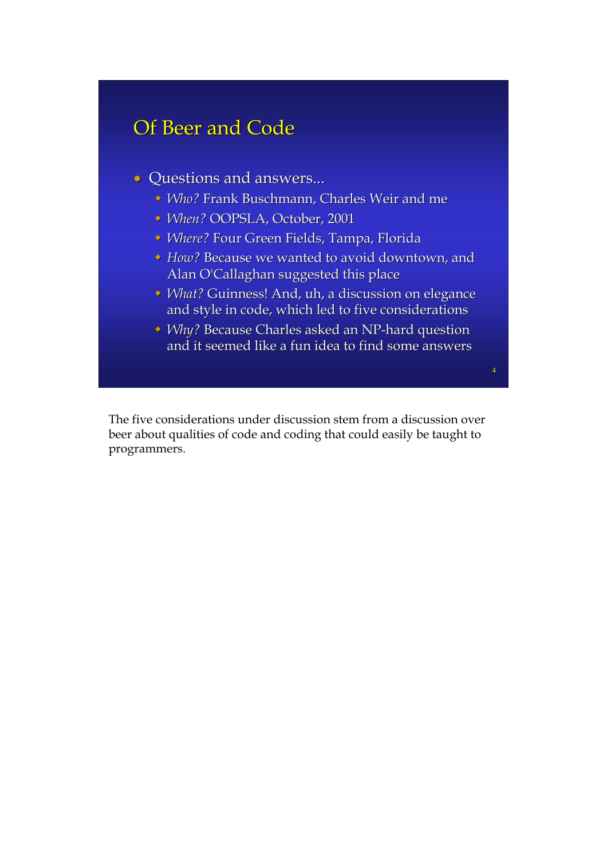### Of Beer and Code

- Questions and answers...
	- *Vho?* Frank Buschmann, Charles Weir and me
	- <sup>•</sup> *When?* OOPSLA, October, 2001
	- **· Where? Four Green Fields, Tampa, Florida**
	- **How?** Because we wanted to avoid downtown, and Alan O'Callaghan suggested this place
	- **V** What? Guinness! And, uh, a discussion on elegance and style in code, which led to five considerations
	- ◆ *Why?* Because Charles asked an NP-hard question and it seemed like a fun idea to find some answers

The five considerations under discussion stem from a discussion over beer about qualities of code and coding that could easily be taught to programmers.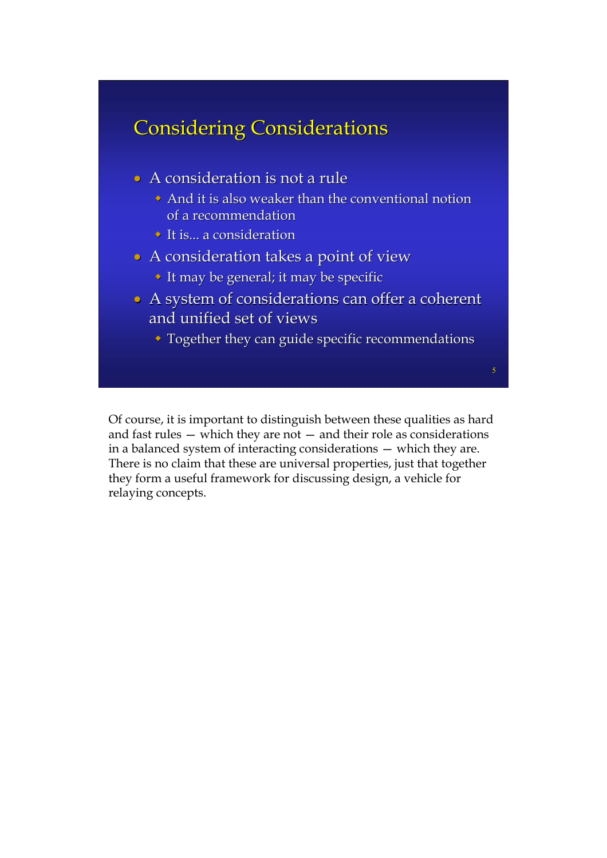### **Considering Considerations**

- $\bullet$  A consideration is not a rule
	- And it is also weaker than the conventional notion of a recommendation
	- $\triangleright$  It is... a consideration
- A consideration takes a point of view
	- $\cdot$  It may be general; it may be specific
- A system of considerations can offer a coherent and unified set of views
	- $\bullet$  Together they can guide specific recommendations

Of course, it is important to distinguish between these qualities as hard and fast rules — which they are not — and their role as considerations in a balanced system of interacting considerations — which they are. There is no claim that these are universal properties, just that together they form a useful framework for discussing design, a vehicle for relaying concepts.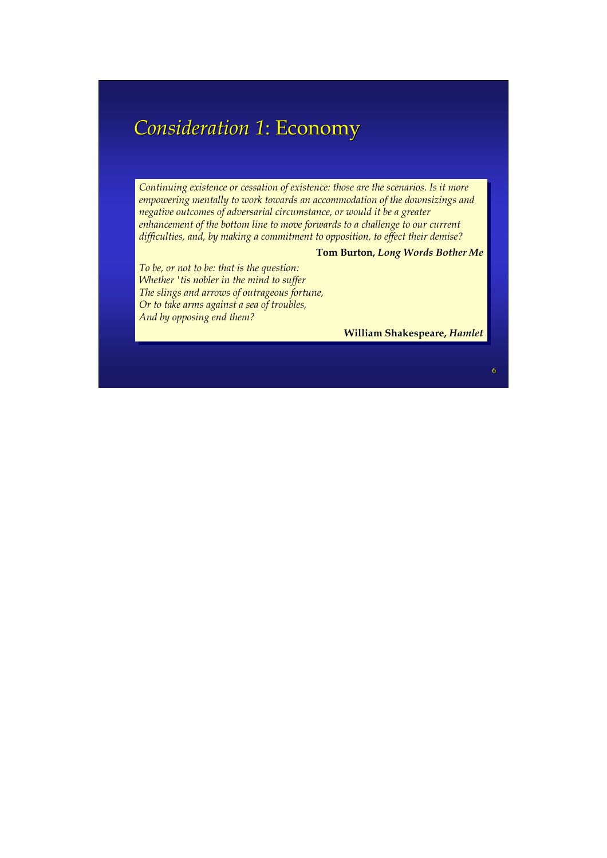### *Consideration 1 Consideration 1*: Economy : Economy

*Continuing existence or cessation of existence: those are the scenarios. Is it more Continuing existence or cessation of existence: those are the scenarios. Is it more empowering mentally to work towards an accommodation of the downsizings and empowering mentally to work towards an accommodation of the downsizings and negative outcomes of adversarial circumstance, or would it be a greater negative outcomes of adversarial circumstance, or would it be a greater enhancement of the bottom line to move forwards to a challenge to our current enhancement of the bottom line to move forwards to a challenge to our current difficulties, and, by making a commitment to opposition, to effect their demise? difficulties, and, by making a commitment to opposition, to effect their demise?*

#### **Tom Burton,** *Long Words Bother Me* **Tom Burton,** *Long Words Bother Me*

*To be, or not to be: that is the question: To be, or not to be: that is the question: Whether 'tis nobler in the mind to suffer Whether 'tis nobler in the mind to suffer The slings and arrows of outrageous fortune, The slings and arrows of outrageous fortune, Or to take arms against a sea of troubles, Or to take arms against a sea of troubles, And by opposing end them? And by opposing end them?*

**William Shakespeare,** *Hamlet* **William Shakespeare,** *Hamlet*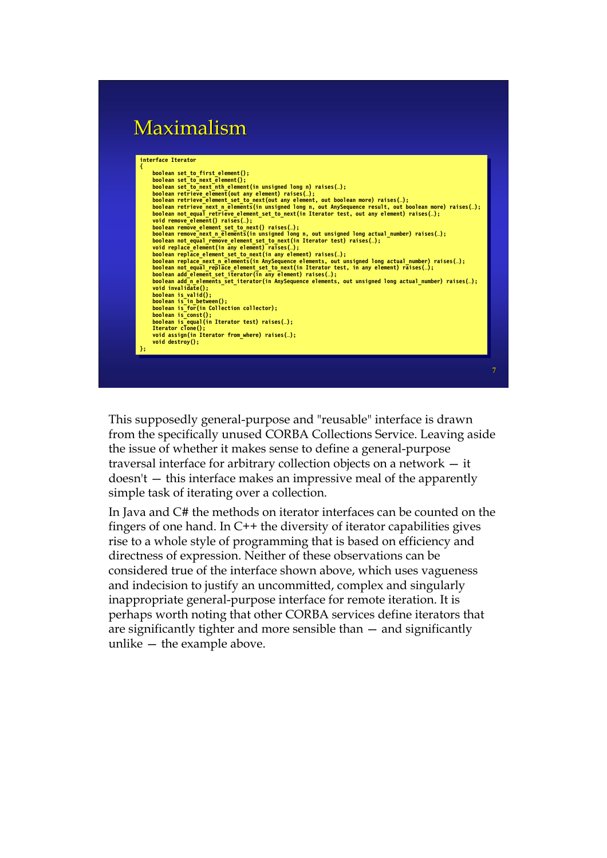### Maximalism



This supposedly general-purpose and "reusable" interface is drawn from the specifically unused CORBA Collections Service. Leaving aside the issue of whether it makes sense to define a general-purpose traversal interface for arbitrary collection objects on a network — it doesn't — this interface makes an impressive meal of the apparently simple task of iterating over a collection.

In Java and C# the methods on iterator interfaces can be counted on the fingers of one hand. In C++ the diversity of iterator capabilities gives rise to a whole style of programming that is based on efficiency and directness of expression. Neither of these observations can be considered true of the interface shown above, which uses vagueness and indecision to justify an uncommitted, complex and singularly inappropriate general-purpose interface for remote iteration. It is perhaps worth noting that other CORBA services define iterators that are significantly tighter and more sensible than — and significantly unlike — the example above.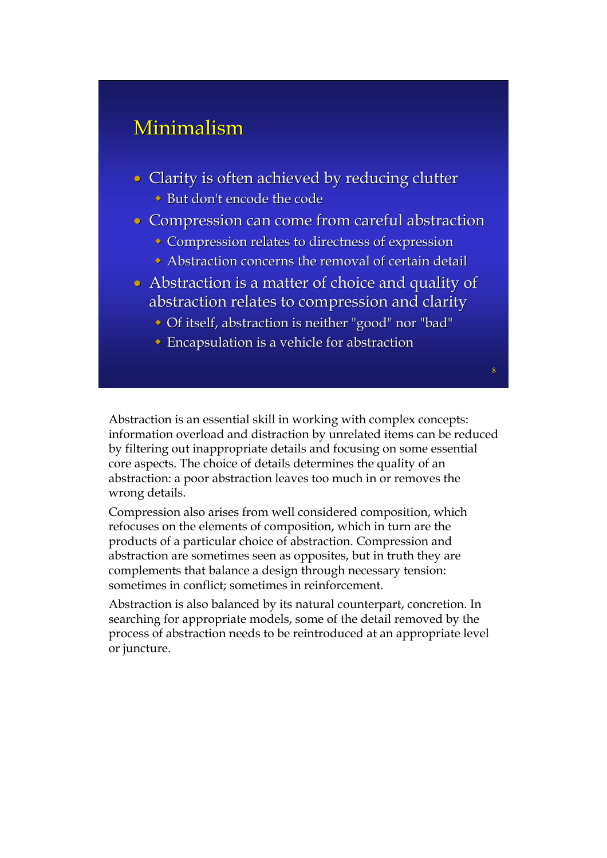### Minimalism

- Clarity is often achieved by reducing clutter
	- $\rightarrow$  But don't encode the code
- Compression can come from careful abstraction
	- $\bullet$  Compression relates to directness of expression
	- $\bullet$  Abstraction concerns the removal of certain detail
- $\bullet$  Abstraction is a matter of choice and quality of abstraction relates to compression and clarity
	- Of itself, abstraction is neither "good" nor "bad"

8

 $\bullet$  Encapsulation is a vehicle for abstraction

Abstraction is an essential skill in working with complex concepts: information overload and distraction by unrelated items can be reduced by filtering out inappropriate details and focusing on some essential core aspects. The choice of details determines the quality of an abstraction: a poor abstraction leaves too much in or removes the wrong details.

Compression also arises from well considered composition, which refocuses on the elements of composition, which in turn are the products of a particular choice of abstraction. Compression and abstraction are sometimes seen as opposites, but in truth they are complements that balance a design through necessary tension: sometimes in conflict; sometimes in reinforcement.

Abstraction is also balanced by its natural counterpart, concretion. In searching for appropriate models, some of the detail removed by the process of abstraction needs to be reintroduced at an appropriate level or juncture.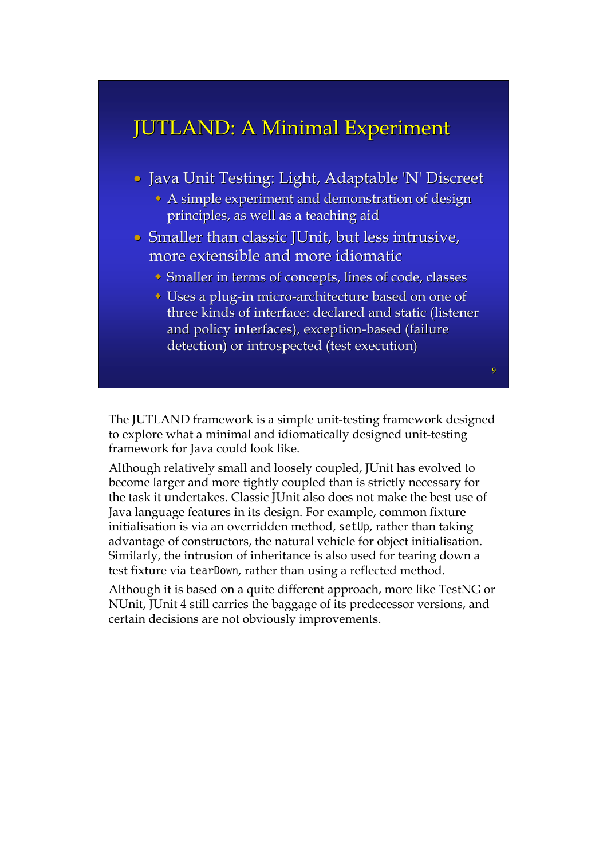### JUTLAND: A Minimal Experiment

- Java Unit Testing: Light, Adaptable 'N' Discreet
	- $\bullet$  A simple experiment and demonstration of design principles, as well as a teaching aid
- Smaller than classic JUnit, but less intrusive, more extensible and more idiomatic
	- $\bullet$  Smaller in terms of concepts, lines of code, classes
	- $\cdot$  Uses a plug-in micro-architecture based on one of three kinds of interface: declared and static (listener and policy interfaces), exception-based (failure detection) or introspected (test execution)

The JUTLAND framework is a simple unit-testing framework designed to explore what a minimal and idiomatically designed unit-testing framework for Java could look like.

Although relatively small and loosely coupled, JUnit has evolved to become larger and more tightly coupled than is strictly necessary for the task it undertakes. Classic JUnit also does not make the best use of Java language features in its design. For example, common fixture initialisation is via an overridden method, setUp, rather than taking advantage of constructors, the natural vehicle for object initialisation. Similarly, the intrusion of inheritance is also used for tearing down a test fixture via tearDown, rather than using a reflected method.

Although it is based on a quite different approach, more like TestNG or NUnit, JUnit 4 still carries the baggage of its predecessor versions, and certain decisions are not obviously improvements.

 $\mathbf{Q}$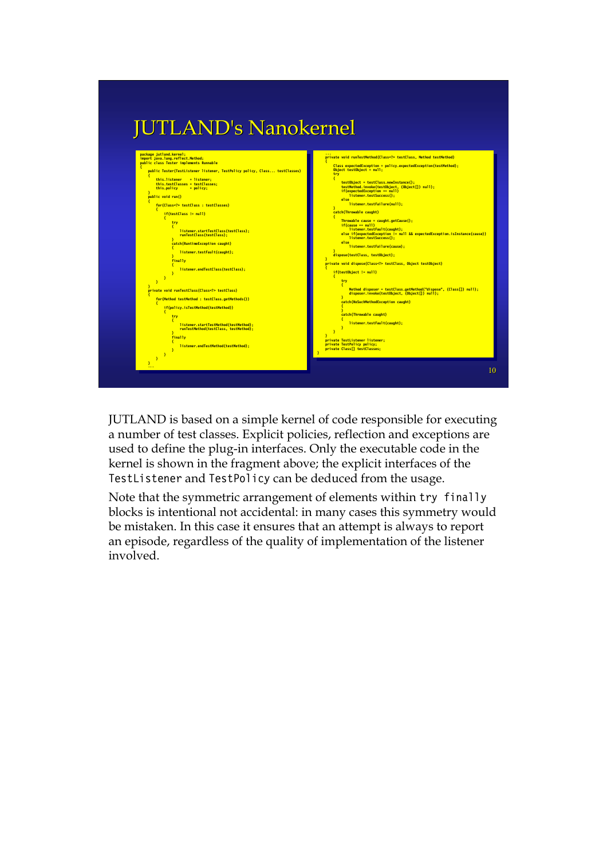

JUTLAND is based on a simple kernel of code responsible for executing a number of test classes. Explicit policies, reflection and exceptions are used to define the plug-in interfaces. Only the executable code in the kernel is shown in the fragment above; the explicit interfaces of the TestListener and TestPolicy can be deduced from the usage.

Note that the symmetric arrangement of elements within try finally blocks is intentional not accidental: in many cases this symmetry would be mistaken. In this case it ensures that an attempt is always to report an episode, regardless of the quality of implementation of the listener involved.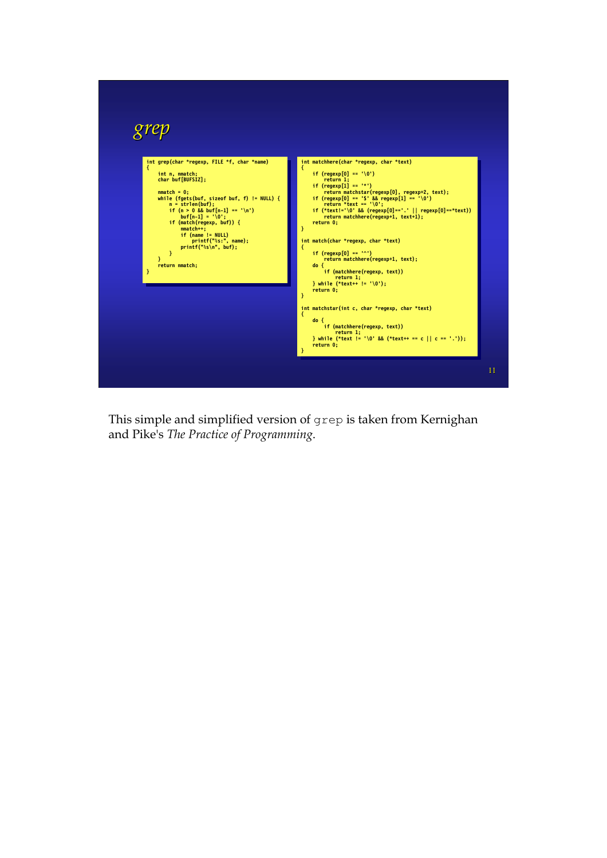

This simple and simplified version of grep is taken from Kernighan and Pike's *The Practice of Programming*.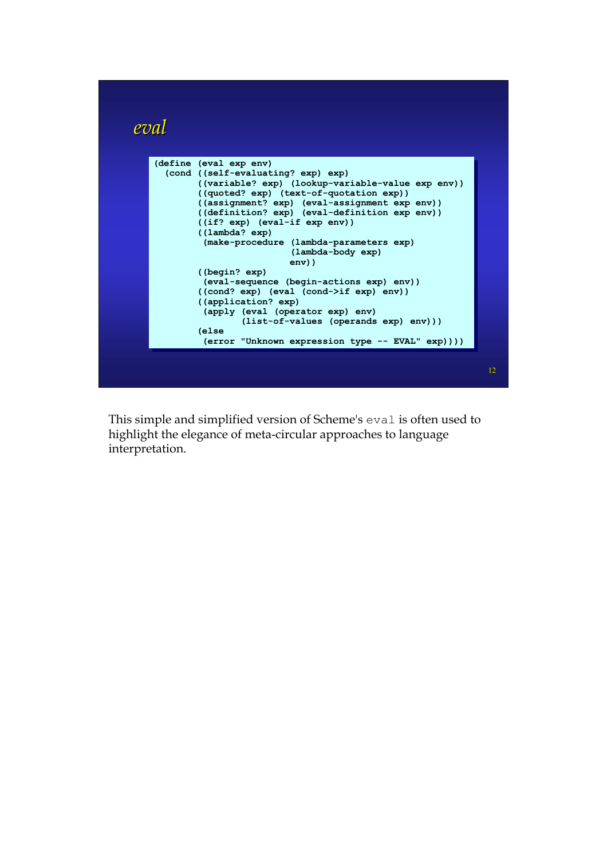

This simple and simplified version of Scheme's eval is often used to highlight the elegance of meta-circular approaches to language interpretation.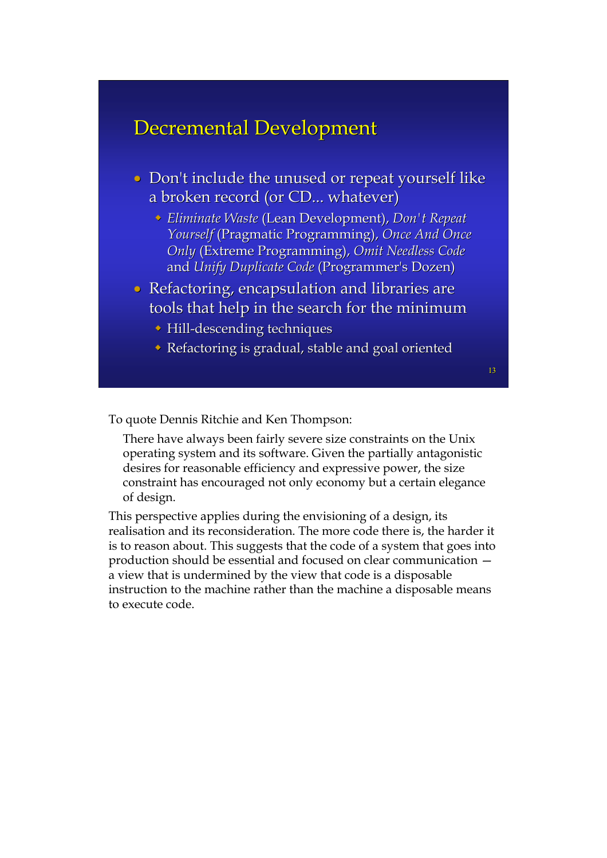#### Decremental Development

- Don't include the unused or repeat yourself like a broken record (or CD... whatever)
	- **Eliminate Waste (Lean Development), Don't Repeat** *Yourself* (Pragmatic Programming), Once And Once *Only* (Extreme Programming), *Omit Needless Code* and *Unify Duplicate Code* (Programmer's Dozen)
- Refactoring, encapsulation and libraries are tools that help in the search for the minimum
	- $\cdot$  Hill-descending techniques
	- Refactoring is gradual, stable and goal oriented

13

To quote Dennis Ritchie and Ken Thompson:

There have always been fairly severe size constraints on the Unix operating system and its software. Given the partially antagonistic desires for reasonable efficiency and expressive power, the size constraint has encouraged not only economy but a certain elegance of design.

This perspective applies during the envisioning of a design, its realisation and its reconsideration. The more code there is, the harder it is to reason about. This suggests that the code of a system that goes into production should be essential and focused on clear communication a view that is undermined by the view that code is a disposable instruction to the machine rather than the machine a disposable means to execute code.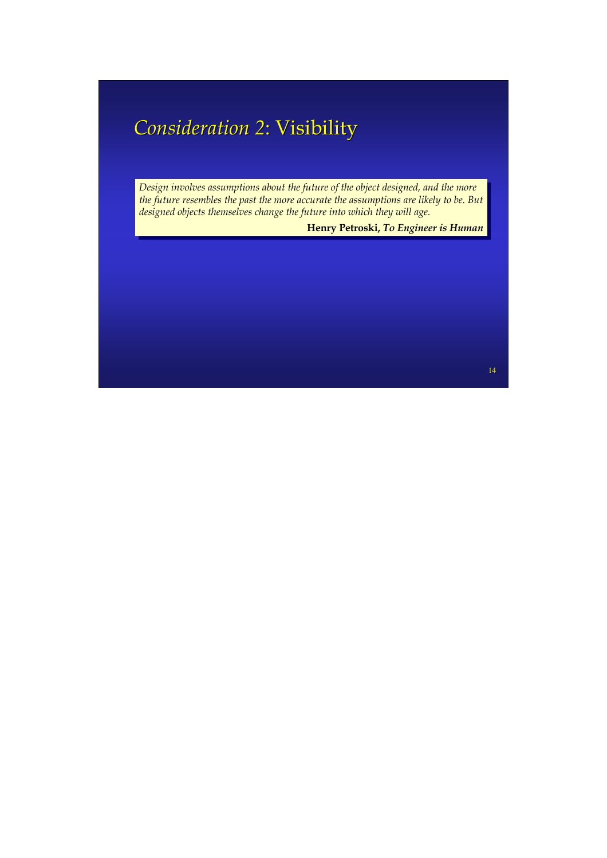## **Consideration 2: Visibility**

*Design involves assumptions about the future of the object designed, and the more Design involves assumptions about the future of the object designed, and the more the future resembles the past the more accurate the assumptions are likely to be. But the future resembles the past the more accurate the assumptions are likely to be. But designed objects themselves change the future into which they will age. designed objects themselves change the future into which they will age.*

**Henry Petroski,** *To Engineer is Human* **Henry Petroski,** *To Engineer is Human*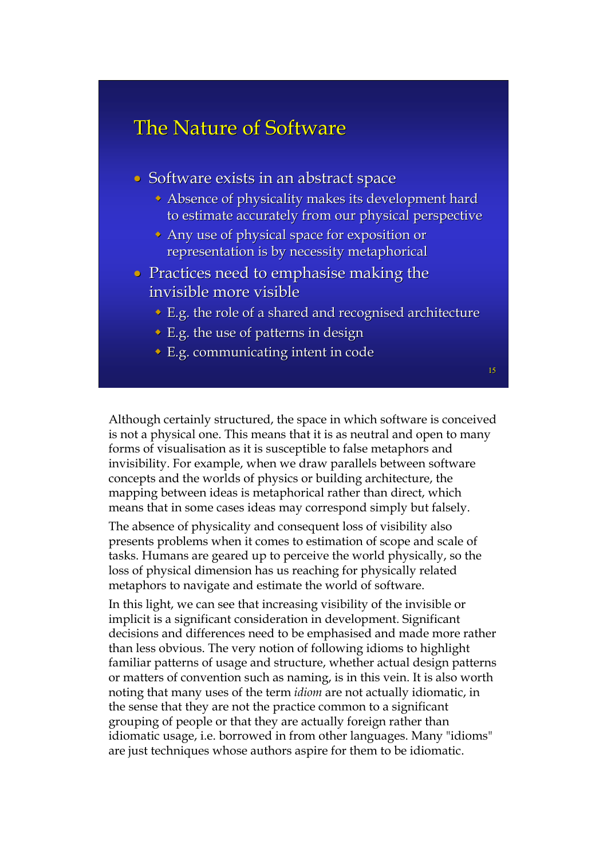### The Nature of Software

- Software exists in an abstract space
	- $\bullet$  Absence of physicality makes its development hard to estimate accurately from our physical perspective
	- $\rightarrow$  Any use of physical space for exposition or representation is by necessity metaphorical
- Practices need to emphasise making the invisible more visible
	- $\triangle$  E.g. the role of a shared and recognised architecture
	- $\bullet$  E.g. the use of patterns in design
	- $\bullet$  E.g. communicating intent in code

15

Although certainly structured, the space in which software is conceived is not a physical one. This means that it is as neutral and open to many forms of visualisation as it is susceptible to false metaphors and invisibility. For example, when we draw parallels between software concepts and the worlds of physics or building architecture, the mapping between ideas is metaphorical rather than direct, which means that in some cases ideas may correspond simply but falsely.

The absence of physicality and consequent loss of visibility also presents problems when it comes to estimation of scope and scale of tasks. Humans are geared up to perceive the world physically, so the loss of physical dimension has us reaching for physically related metaphors to navigate and estimate the world of software.

In this light, we can see that increasing visibility of the invisible or implicit is a significant consideration in development. Significant decisions and differences need to be emphasised and made more rather than less obvious. The very notion of following idioms to highlight familiar patterns of usage and structure, whether actual design patterns or matters of convention such as naming, is in this vein. It is also worth noting that many uses of the term *idiom* are not actually idiomatic, in the sense that they are not the practice common to a significant grouping of people or that they are actually foreign rather than idiomatic usage, i.e. borrowed in from other languages. Many "idioms" are just techniques whose authors aspire for them to be idiomatic.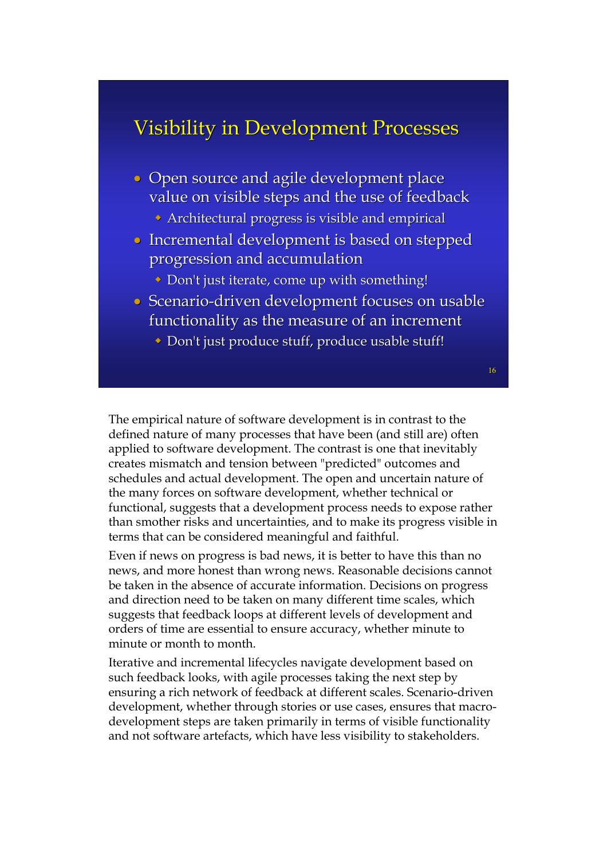### Visibility in Development Processes

- Open source and agile development place value on visible steps and the use of feedback
	- $\rightarrow$  Architectural progress is visible and empirical
- Incremental development is based on stepped progression and accumulation progression and accumulation
	- $\bullet$  Don't just iterate, come up with something!
- Scenario-driven development focuses on usable functionality as the measure of an increment
	- Don't just produce stuff, produce usable stuff!

16

The empirical nature of software development is in contrast to the defined nature of many processes that have been (and still are) often applied to software development. The contrast is one that inevitably creates mismatch and tension between "predicted" outcomes and schedules and actual development. The open and uncertain nature of the many forces on software development, whether technical or functional, suggests that a development process needs to expose rather than smother risks and uncertainties, and to make its progress visible in terms that can be considered meaningful and faithful.

Even if news on progress is bad news, it is better to have this than no news, and more honest than wrong news. Reasonable decisions cannot be taken in the absence of accurate information. Decisions on progress and direction need to be taken on many different time scales, which suggests that feedback loops at different levels of development and orders of time are essential to ensure accuracy, whether minute to minute or month to month.

Iterative and incremental lifecycles navigate development based on such feedback looks, with agile processes taking the next step by ensuring a rich network of feedback at different scales. Scenario-driven development, whether through stories or use cases, ensures that macrodevelopment steps are taken primarily in terms of visible functionality and not software artefacts, which have less visibility to stakeholders.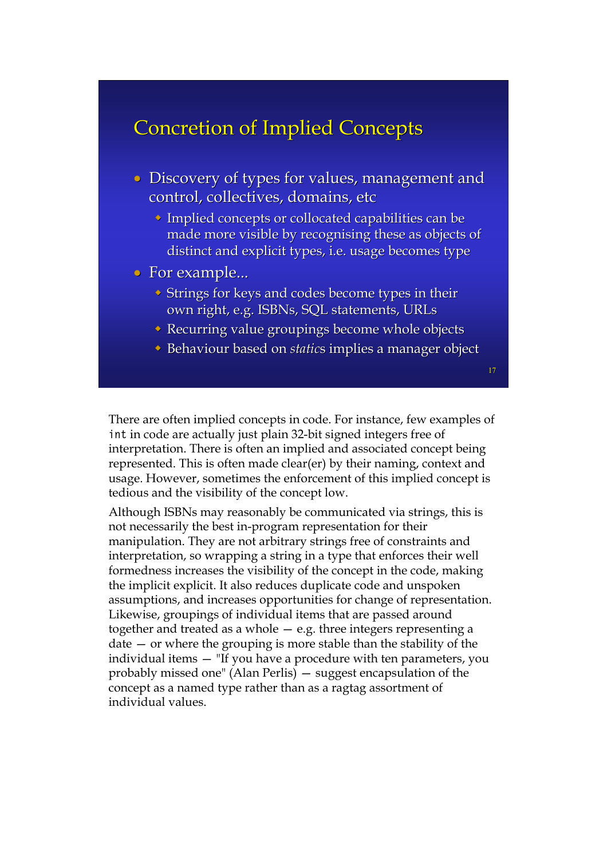### **Concretion of Implied Concepts**

- Discovery of types for values, management and control, collectives, domains, etc
	- $\bullet$  Implied concepts or collocated capabilities can be made more visible by recognising these as objects of distinct and explicit types, i.e. usage becomes type
- For example...
	- $\blacktriangleright$  Strings for keys and codes become types in their own right, e.g. ISBNs, SQL statements, URLs
	- $\triangle$  Recurring value groupings become whole objects
	- Behaviour based on *static*s implies a manager object

There are often implied concepts in code. For instance, few examples of int in code are actually just plain 32-bit signed integers free of interpretation. There is often an implied and associated concept being represented. This is often made clear(er) by their naming, context and usage. However, sometimes the enforcement of this implied concept is tedious and the visibility of the concept low.

Although ISBNs may reasonably be communicated via strings, this is not necessarily the best in-program representation for their manipulation. They are not arbitrary strings free of constraints and interpretation, so wrapping a string in a type that enforces their well formedness increases the visibility of the concept in the code, making the implicit explicit. It also reduces duplicate code and unspoken assumptions, and increases opportunities for change of representation. Likewise, groupings of individual items that are passed around together and treated as a whole — e.g. three integers representing a date — or where the grouping is more stable than the stability of the individual items — "If you have a procedure with ten parameters, you probably missed one" (Alan Perlis) — suggest encapsulation of the concept as a named type rather than as a ragtag assortment of individual values.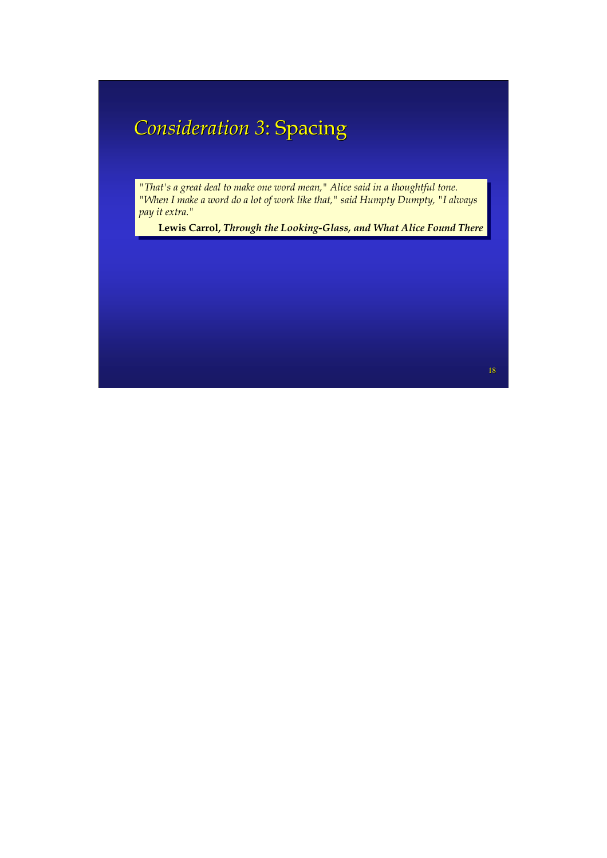## **Consideration 3: Spacing**

*"That's a great deal to make one word mean," Alice said in a thoughtful tone. "When I make a word do a lot of work like that," said Humpty Dumpty, "I always pay it extra." pay it extra." "That's a great deal to make one word mean," Alice said in a thoughtful tone. "When I make a word do a lot of work like that," said Humpty Dumpty, "I always* 

**Lewis Carrol,** *Through the Looking-Glass, and What Alice Found There* **Lewis Carrol,** *Through the Looking-Glass, and What Alice Found There*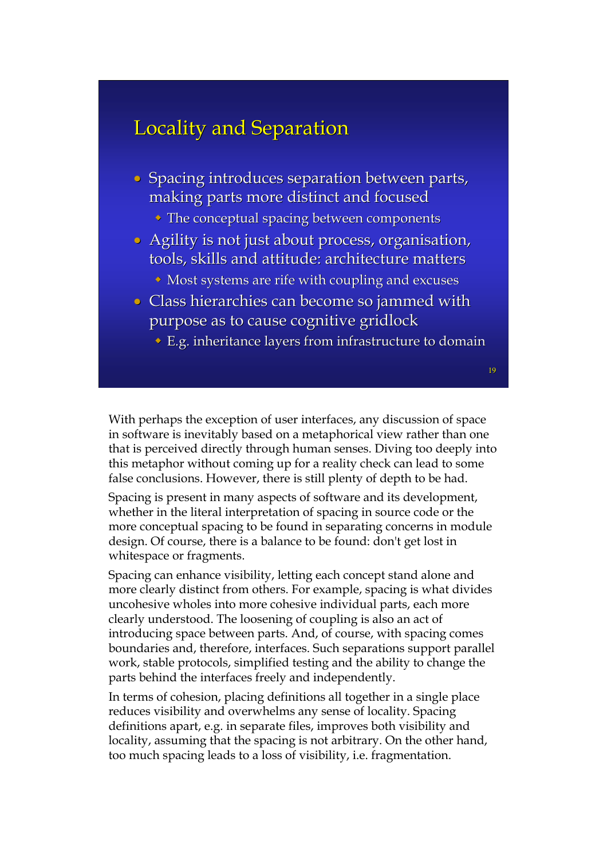### Locality and Separation

- Spacing introduces separation between parts, making parts more distinct and focused
	- $\bullet$  The conceptual spacing between components
- $\bullet$  Agility is not just about process, organisation, tools, skills and attitude: architecture matters
	- $\bullet$  Most systems are rife with coupling and excuses
- Class hierarchies can become so jammed with purpose as to cause cognitive gridlock purpose as to cause cognitive gridlock
	- $\triangle$  E.g. inheritance layers from infrastructure to domain

19

With perhaps the exception of user interfaces, any discussion of space in software is inevitably based on a metaphorical view rather than one that is perceived directly through human senses. Diving too deeply into this metaphor without coming up for a reality check can lead to some false conclusions. However, there is still plenty of depth to be had.

Spacing is present in many aspects of software and its development, whether in the literal interpretation of spacing in source code or the more conceptual spacing to be found in separating concerns in module design. Of course, there is a balance to be found: don't get lost in whitespace or fragments.

Spacing can enhance visibility, letting each concept stand alone and more clearly distinct from others. For example, spacing is what divides uncohesive wholes into more cohesive individual parts, each more clearly understood. The loosening of coupling is also an act of introducing space between parts. And, of course, with spacing comes boundaries and, therefore, interfaces. Such separations support parallel work, stable protocols, simplified testing and the ability to change the parts behind the interfaces freely and independently.

In terms of cohesion, placing definitions all together in a single place reduces visibility and overwhelms any sense of locality. Spacing definitions apart, e.g. in separate files, improves both visibility and locality, assuming that the spacing is not arbitrary. On the other hand, too much spacing leads to a loss of visibility, i.e. fragmentation.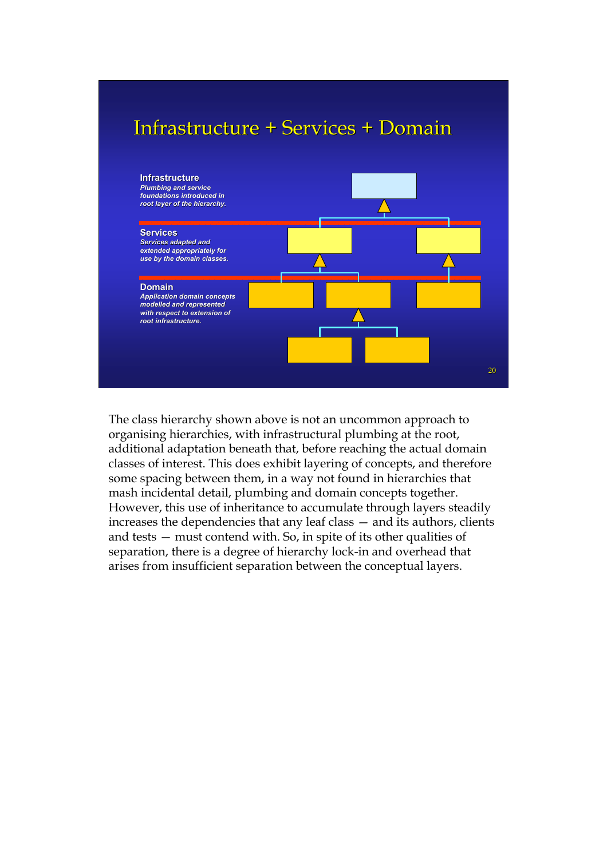### Infrastructure + Services + Domain



The class hierarchy shown above is not an uncommon approach to organising hierarchies, with infrastructural plumbing at the root, additional adaptation beneath that, before reaching the actual domain classes of interest. This does exhibit layering of concepts, and therefore some spacing between them, in a way not found in hierarchies that mash incidental detail, plumbing and domain concepts together. However, this use of inheritance to accumulate through layers steadily increases the dependencies that any leaf class — and its authors, clients and tests — must contend with. So, in spite of its other qualities of separation, there is a degree of hierarchy lock-in and overhead that arises from insufficient separation between the conceptual layers.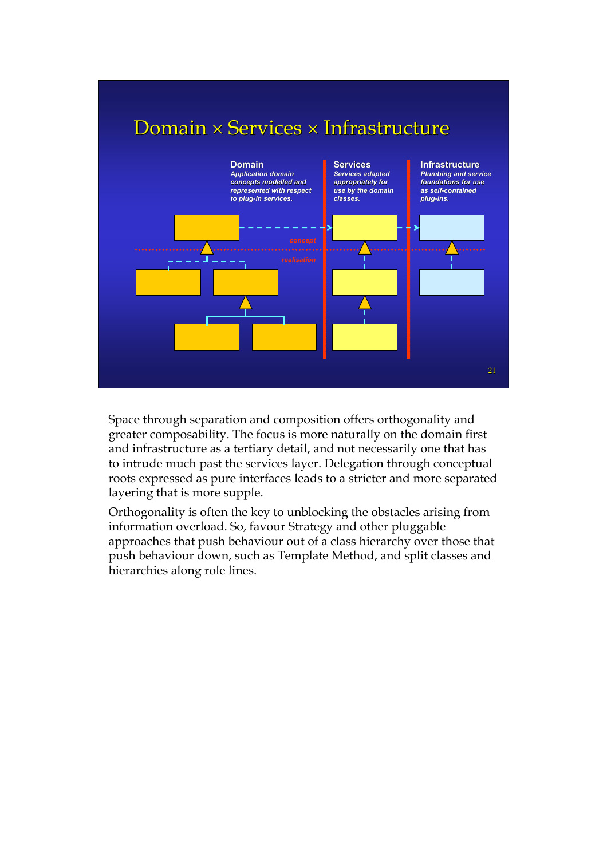

Space through separation and composition offers orthogonality and greater composability. The focus is more naturally on the domain first and infrastructure as a tertiary detail, and not necessarily one that has to intrude much past the services layer. Delegation through conceptual roots expressed as pure interfaces leads to a stricter and more separated layering that is more supple.

Orthogonality is often the key to unblocking the obstacles arising from information overload. So, favour Strategy and other pluggable approaches that push behaviour out of a class hierarchy over those that push behaviour down, such as Template Method, and split classes and hierarchies along role lines.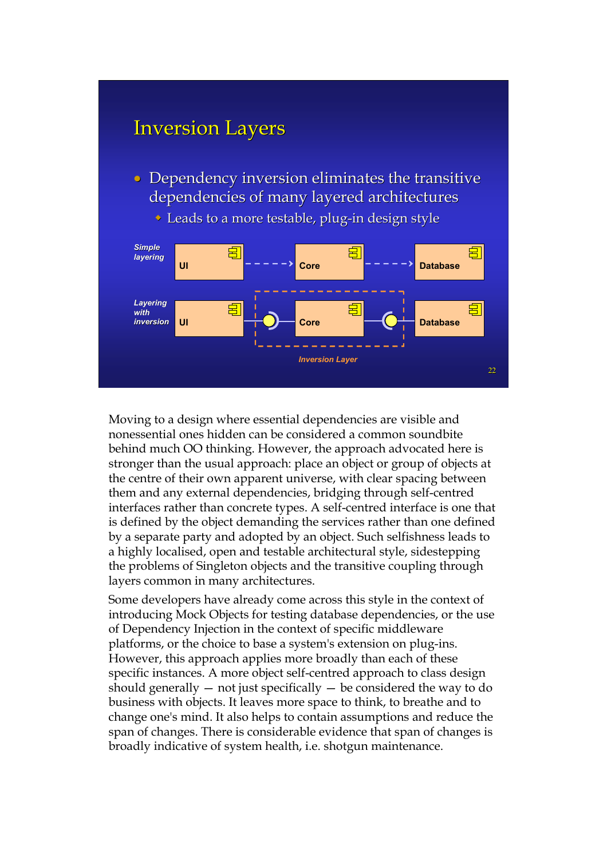#### **Inversion Layers**

- Dependency inversion eliminates the transitive dependencies of many layered architectures
	- $\bullet$  Leads to a more testable, plug-in design style



Moving to a design where essential dependencies are visible and nonessential ones hidden can be considered a common soundbite behind much OO thinking. However, the approach advocated here is stronger than the usual approach: place an object or group of objects at the centre of their own apparent universe, with clear spacing between them and any external dependencies, bridging through self-centred interfaces rather than concrete types. A self-centred interface is one that is defined by the object demanding the services rather than one defined by a separate party and adopted by an object. Such selfishness leads to a highly localised, open and testable architectural style, sidestepping the problems of Singleton objects and the transitive coupling through layers common in many architectures.

Some developers have already come across this style in the context of introducing Mock Objects for testing database dependencies, or the use of Dependency Injection in the context of specific middleware platforms, or the choice to base a system's extension on plug-ins. However, this approach applies more broadly than each of these specific instances. A more object self-centred approach to class design should generally  $-$  not just specifically  $-$  be considered the way to do business with objects. It leaves more space to think, to breathe and to change one's mind. It also helps to contain assumptions and reduce the span of changes. There is considerable evidence that span of changes is broadly indicative of system health, i.e. shotgun maintenance.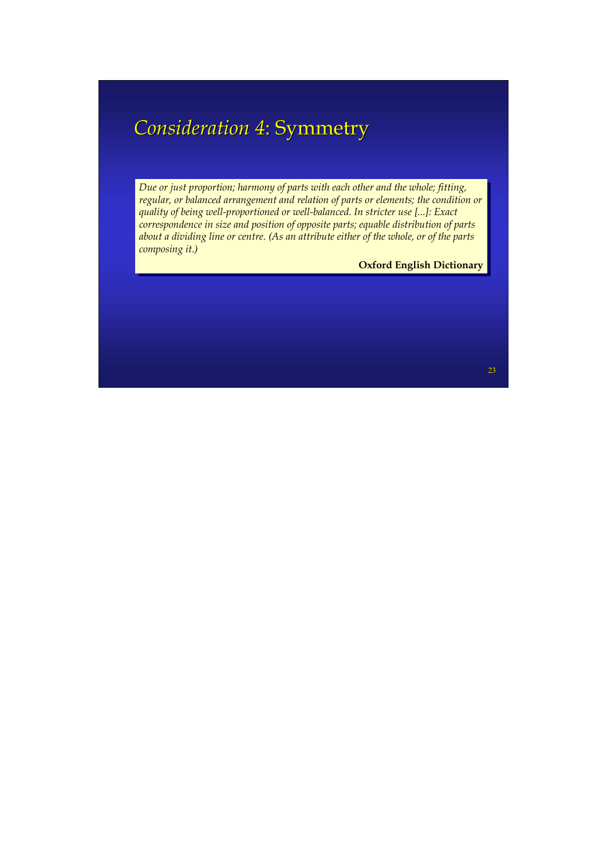### **Consideration 4: Symmetry**

*Due or just proportion; harmony of parts with each other and the whole; fitting, Due or just proportion; harmony of parts with each other and the whole; fitting, regular, or balanced arrangement and relation of parts or elements; the condition or regular, or balanced arrangement and relation of parts or elements; the condition or quality of being well-proportioned or well-balanced. In stricter use [...]: Exact quality of being well-proportioned or well-balanced. In stricter use [...]: Exact correspondence in size and position of opposite parts; equable distribution of parts correspondence in size and position of opposite parts; equable distribution of parts about a dividing line or centre. (As an attribute either of the whole, or of the parts about a dividing line or centre. (As an attribute either of the whole, or of the parts composing it.) composing it.)*

**Oxford English Dictionary Oxford English Dictionary**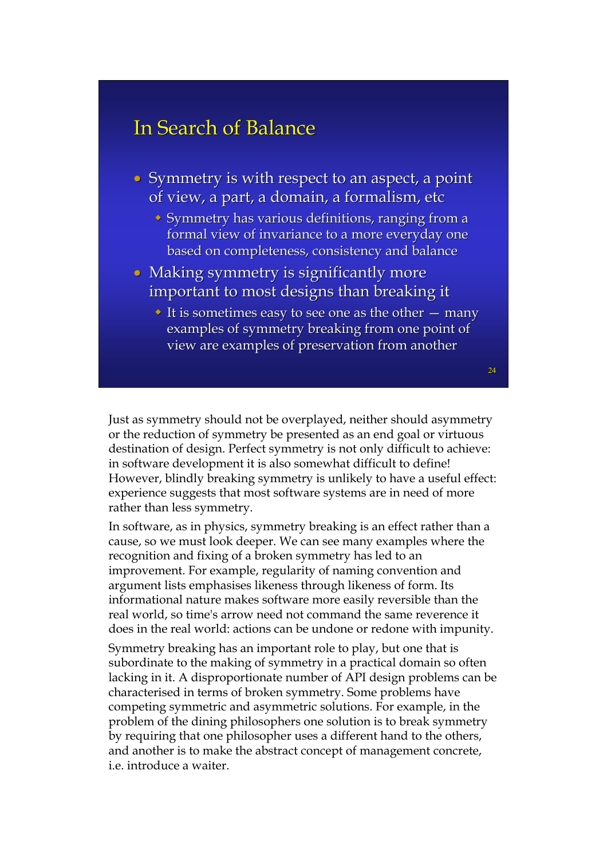#### In Search of Balance

- $\bullet$  Symmetry is with respect to an aspect, a point of view, a part, a domain, a formalism, etc
	- $\bullet$  Symmetry has various definitions, ranging from a formal view of invariance to a more everyday one based on completeness, consistency and balance
- Making symmetry is significantly more important to most designs than breaking it
	- It is sometimes easy to see one as the other  $-$  many examples of symmetry breaking from one point of view are examples of preservation from another

Just as symmetry should not be overplayed, neither should asymmetry or the reduction of symmetry be presented as an end goal or virtuous destination of design. Perfect symmetry is not only difficult to achieve: in software development it is also somewhat difficult to define! However, blindly breaking symmetry is unlikely to have a useful effect: experience suggests that most software systems are in need of more rather than less symmetry.

In software, as in physics, symmetry breaking is an effect rather than a cause, so we must look deeper. We can see many examples where the recognition and fixing of a broken symmetry has led to an improvement. For example, regularity of naming convention and argument lists emphasises likeness through likeness of form. Its informational nature makes software more easily reversible than the real world, so time's arrow need not command the same reverence it does in the real world: actions can be undone or redone with impunity.

Symmetry breaking has an important role to play, but one that is subordinate to the making of symmetry in a practical domain so often lacking in it. A disproportionate number of API design problems can be characterised in terms of broken symmetry. Some problems have competing symmetric and asymmetric solutions. For example, in the problem of the dining philosophers one solution is to break symmetry by requiring that one philosopher uses a different hand to the others, and another is to make the abstract concept of management concrete, i.e. introduce a waiter.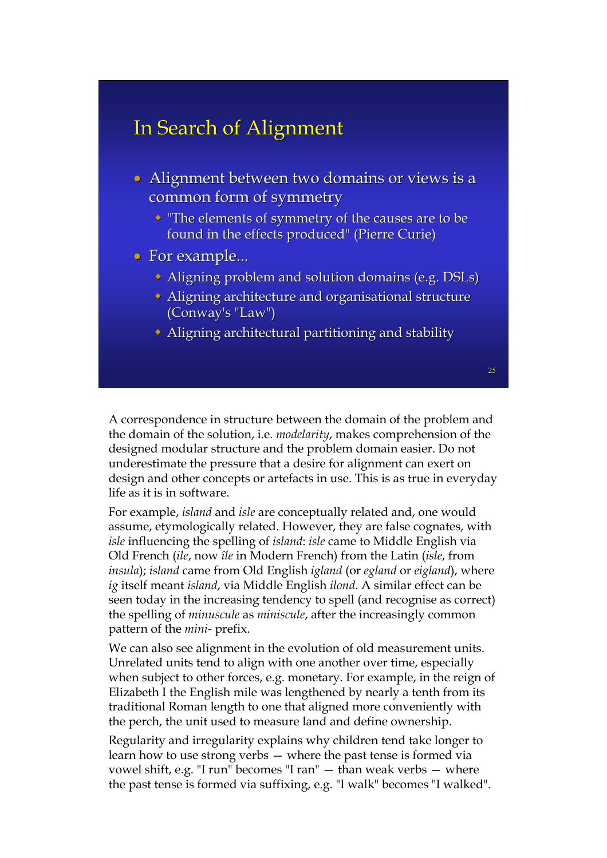### In Search of Alignment

- $\bullet$  Alignment between two domains or views is a common form of symmetry
	- $\cdot$  "The elements of symmetry of the causes are to be found in the effects produced" (Pierre Curie)
- For example...
	- $\triangle$  Aligning problem and solution domains (e.g. DSLs)
	- $\triangle$  Aligning architecture and organisational structure (Conway's "Law") (Conway's "Law")
	- $\bullet$  Aligning architectural partitioning and stability

A correspondence in structure between the domain of the problem and the domain of the solution, i.e. *modelarity*, makes comprehension of the designed modular structure and the problem domain easier. Do not underestimate the pressure that a desire for alignment can exert on design and other concepts or artefacts in use. This is as true in everyday life as it is in software.

For example, *island* and *isle* are conceptually related and, one would assume, etymologically related. However, they are false cognates, with *isle* influencing the spelling of *island*: *isle* came to Middle English via Old French (*ile*, now *île* in Modern French) from the Latin (*isle*, from *insula*); *island* came from Old English *igland* (or *egland* or *eigland*), where *ig* itself meant *island*, via Middle English *ilond*. A similar effect can be seen today in the increasing tendency to spell (and recognise as correct) the spelling of *minuscule* as *miniscule*, after the increasingly common pattern of the *mini-* prefix.

We can also see alignment in the evolution of old measurement units. Unrelated units tend to align with one another over time, especially when subject to other forces, e.g. monetary. For example, in the reign of Elizabeth I the English mile was lengthened by nearly a tenth from its traditional Roman length to one that aligned more conveniently with the perch, the unit used to measure land and define ownership.

Regularity and irregularity explains why children tend take longer to learn how to use strong verbs — where the past tense is formed via vowel shift, e.g. "I run" becomes "I ran" — than weak verbs — where the past tense is formed via suffixing, e.g. "I walk" becomes "I walked".

25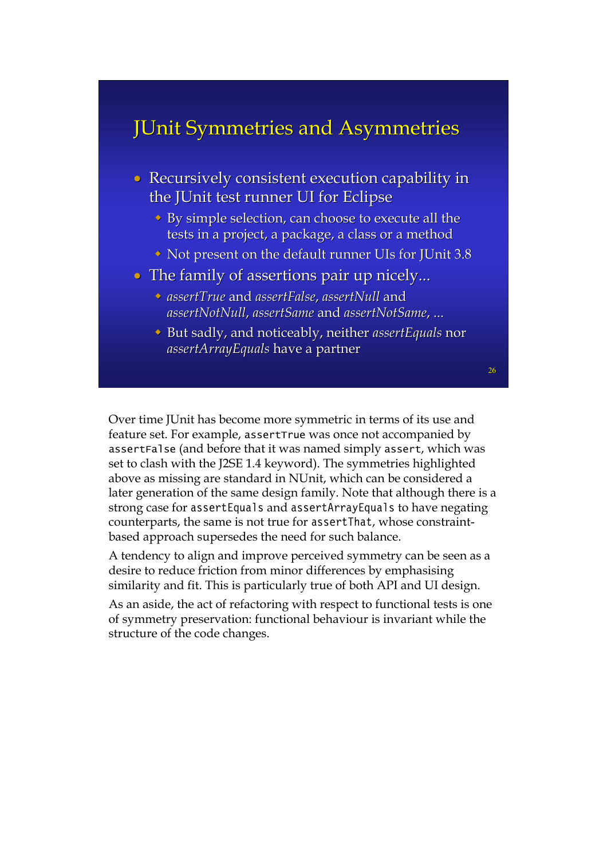### **JUnit Symmetries and Asymmetries**

- Recursively consistent execution capability in the JUnit test runner UI for Eclipse
	- $\rightarrow$  By simple selection, can choose to execute all the tests in a project, a package, a class or a method
	- $\bullet$  Not present on the default runner UIs for JUnit 3.8
- $\bullet$  The family of assertions pair up nicely...
	- *assertTrue assertTrue* and *assertFalse assertFalse*, *assertNull assertNull* and *assertNotNull assertNotNull*, *assertSame assertSame* and *assertNotSame assertNotSame*, ...
	- **But sadly, and noticeably, neither** *assertEquals* **nor** *assertArrayEquals assertArrayEquals*have a partner have a partner

Over time JUnit has become more symmetric in terms of its use and feature set. For example, assertTrue was once not accompanied by assertFalse (and before that it was named simply assert, which was set to clash with the J2SE 1.4 keyword). The symmetries highlighted above as missing are standard in NUnit, which can be considered a later generation of the same design family. Note that although there is a strong case for assertEquals and assertArrayEquals to have negating counterparts, the same is not true for assertThat, whose constraintbased approach supersedes the need for such balance.

A tendency to align and improve perceived symmetry can be seen as a desire to reduce friction from minor differences by emphasising similarity and fit. This is particularly true of both API and UI design.

As an aside, the act of refactoring with respect to functional tests is one of symmetry preservation: functional behaviour is invariant while the structure of the code changes.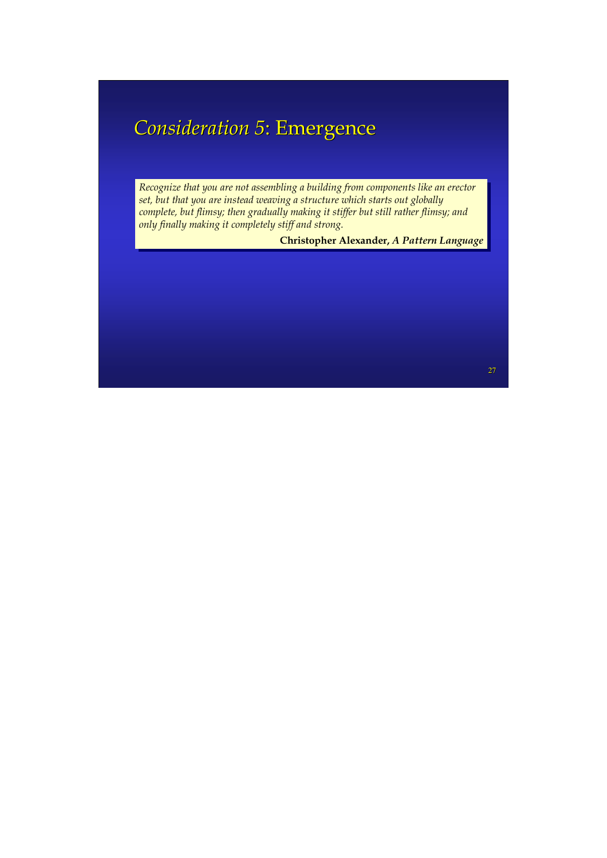### **Consideration 5: Emergence**

*Recognize that you are not assembling a building from components like an erector Recognize that you are not assembling a building from components like an erector set, but that you are instead weaving a structure which starts out globally set, but that you are instead weaving a structure which starts out globally complete, but flimsy; then gradually making it stiffer but still rather flimsy; and complete, but flimsy; then gradually making it stiffer but still rather flimsy; and only finally making it completely stiff and strong. only finally making it completely stiff and strong.*

**Christopher Alexander,** *A Pattern Language* **Christopher Alexander,** *A Pattern Language*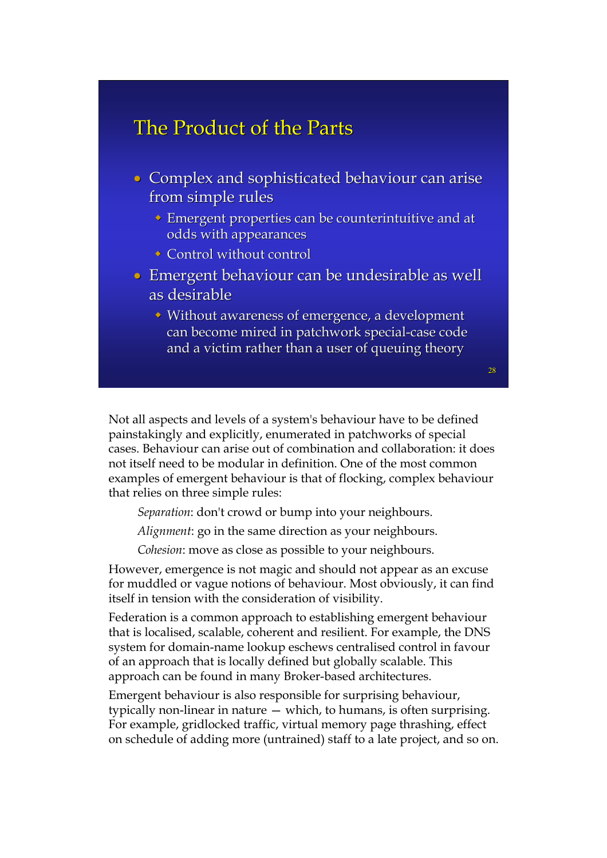#### The Product of the Parts

- Complex and sophisticated behaviour can arise from simple rules
	- $\bullet$  Emergent properties can be counterintuitive and at odds with appearances
	- $\rightarrow$  Control without control
- Emergent behaviour can be undesirable as well as desirable
	- $\rightarrow$  Without awareness of emergence, a development can become mired in patchwork special-case code and a victim rather than a user of queuing theory

Not all aspects and levels of a system's behaviour have to be defined painstakingly and explicitly, enumerated in patchworks of special cases. Behaviour can arise out of combination and collaboration: it does not itself need to be modular in definition. One of the most common examples of emergent behaviour is that of flocking, complex behaviour that relies on three simple rules:

*Separation*: don't crowd or bump into your neighbours.

*Alignment*: go in the same direction as your neighbours.

*Cohesion*: move as close as possible to your neighbours.

However, emergence is not magic and should not appear as an excuse for muddled or vague notions of behaviour. Most obviously, it can find itself in tension with the consideration of visibility.

Federation is a common approach to establishing emergent behaviour that is localised, scalable, coherent and resilient. For example, the DNS system for domain-name lookup eschews centralised control in favour of an approach that is locally defined but globally scalable. This approach can be found in many Broker-based architectures.

Emergent behaviour is also responsible for surprising behaviour, typically non-linear in nature — which, to humans, is often surprising. For example, gridlocked traffic, virtual memory page thrashing, effect on schedule of adding more (untrained) staff to a late project, and so on.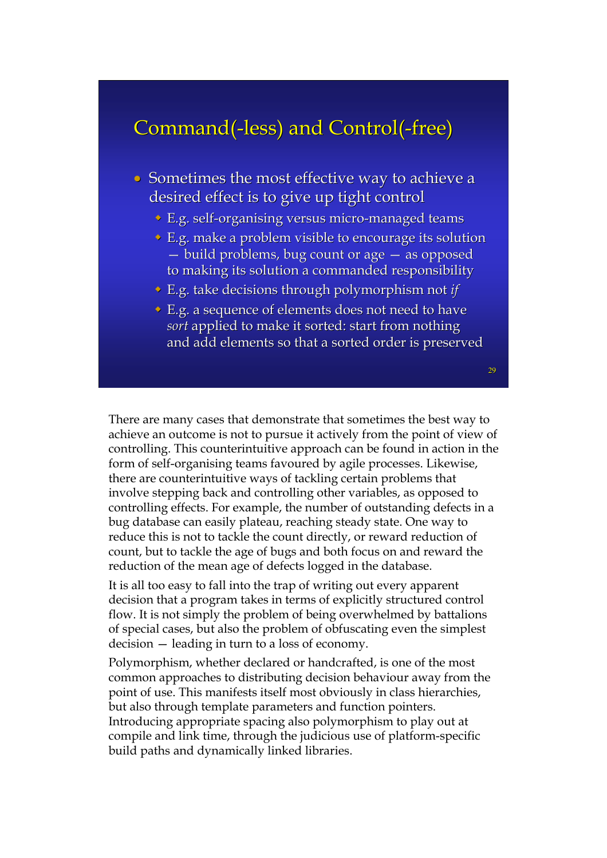### Command(-less) and Control(-free)

- $\bullet$  Sometimes the most effective way to achieve a desired effect is to give up tight control
	- $\bullet$  E.g. self-organising versus micro-managed teams
	- $\bullet$  E.g. make a problem visible to encourage its solution  $-$  build problems, bug count or age  $-$  as opposed to making its solution a commanded responsibility
	- **E.g. take decisions through polymorphism not** *if*
	- E.g. a sequence of elements does not need to have *sort* applied to make it sorted: start from nothing and add elements so that a sorted order is preserved

There are many cases that demonstrate that sometimes the best way to achieve an outcome is not to pursue it actively from the point of view of controlling. This counterintuitive approach can be found in action in the form of self-organising teams favoured by agile processes. Likewise, there are counterintuitive ways of tackling certain problems that involve stepping back and controlling other variables, as opposed to controlling effects. For example, the number of outstanding defects in a bug database can easily plateau, reaching steady state. One way to reduce this is not to tackle the count directly, or reward reduction of count, but to tackle the age of bugs and both focus on and reward the reduction of the mean age of defects logged in the database.

It is all too easy to fall into the trap of writing out every apparent decision that a program takes in terms of explicitly structured control flow. It is not simply the problem of being overwhelmed by battalions of special cases, but also the problem of obfuscating even the simplest decision — leading in turn to a loss of economy.

Polymorphism, whether declared or handcrafted, is one of the most common approaches to distributing decision behaviour away from the point of use. This manifests itself most obviously in class hierarchies, but also through template parameters and function pointers. Introducing appropriate spacing also polymorphism to play out at compile and link time, through the judicious use of platform-specific build paths and dynamically linked libraries.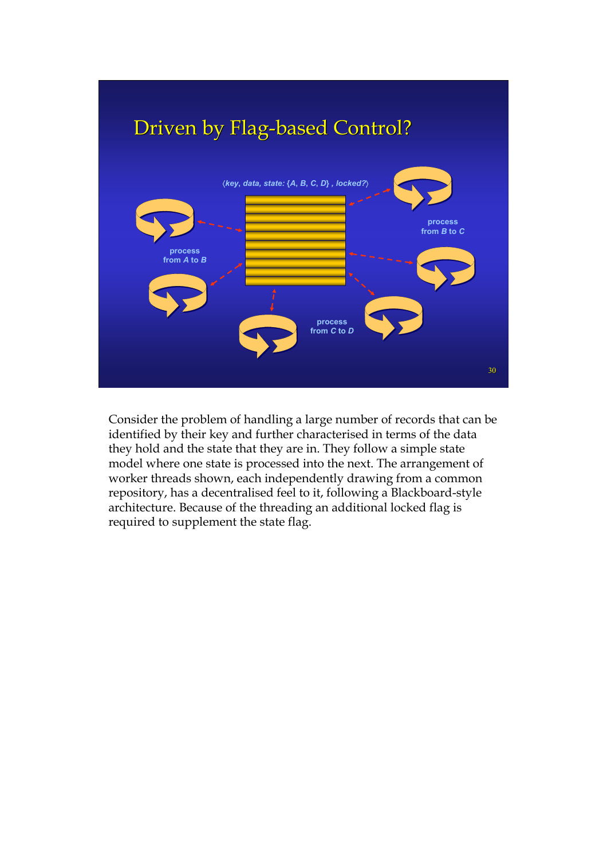

Consider the problem of handling a large number of records that can be identified by their key and further characterised in terms of the data they hold and the state that they are in. They follow a simple state model where one state is processed into the next. The arrangement of worker threads shown, each independently drawing from a common repository, has a decentralised feel to it, following a Blackboard-style architecture. Because of the threading an additional locked flag is required to supplement the state flag.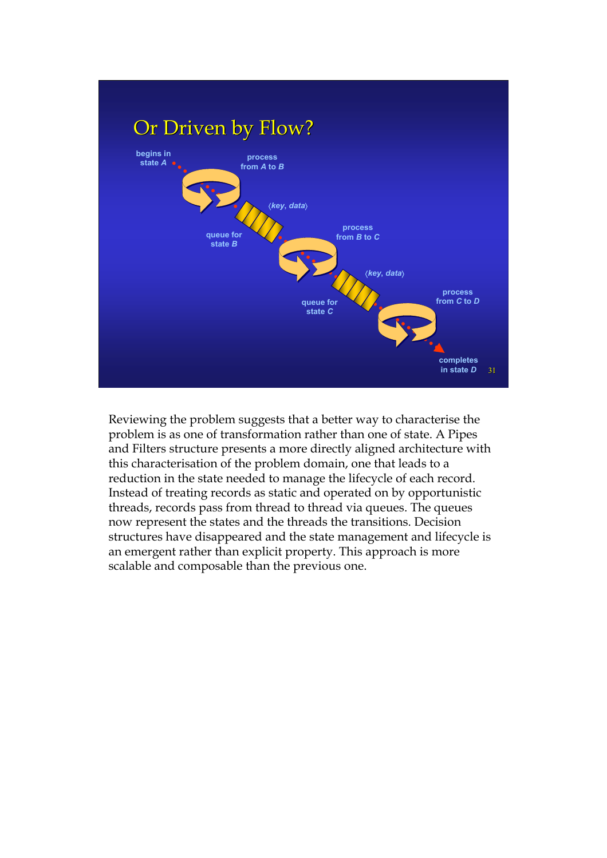

Reviewing the problem suggests that a better way to characterise the problem is as one of transformation rather than one of state. A Pipes and Filters structure presents a more directly aligned architecture with this characterisation of the problem domain, one that leads to a reduction in the state needed to manage the lifecycle of each record. Instead of treating records as static and operated on by opportunistic threads, records pass from thread to thread via queues. The queues now represent the states and the threads the transitions. Decision structures have disappeared and the state management and lifecycle is an emergent rather than explicit property. This approach is more scalable and composable than the previous one.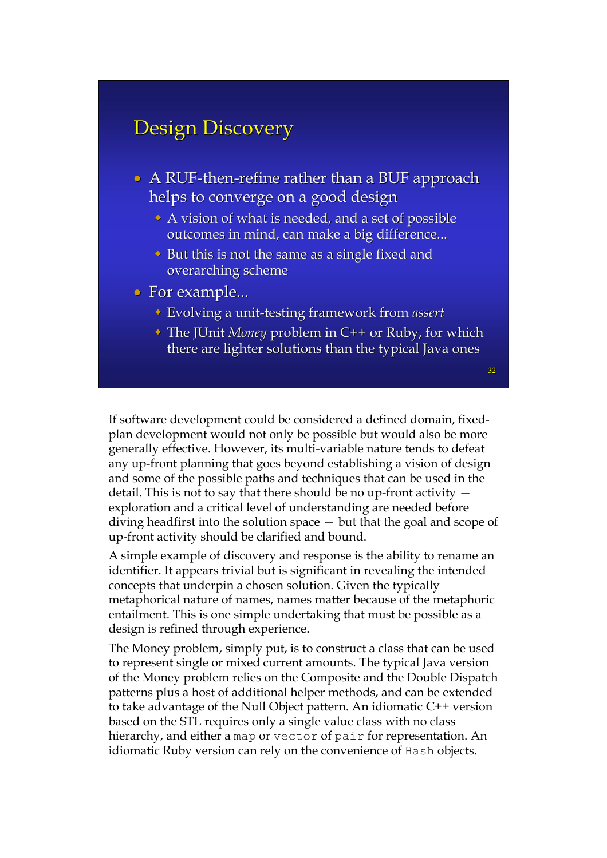### Design Discovery

- $\bullet$  A RUF-then-refine rather than a BUF approach helps to converge on a good design
	- A vision of what is needed, and a set of possible outcomes in mind, can make a big difference...
	- $\bullet$  But this is not the same as a single fixed and overarching scheme
- For example...
	- **Evolving a unit-testing framework from** *assert*
	- ◆ The JUnit *Money* problem in C++ or Ruby, for which there are lighter solutions than the typical Java ones

32

If software development could be considered a defined domain, fixedplan development would not only be possible but would also be more generally effective. However, its multi-variable nature tends to defeat any up-front planning that goes beyond establishing a vision of design and some of the possible paths and techniques that can be used in the detail. This is not to say that there should be no up-front activity exploration and a critical level of understanding are needed before diving headfirst into the solution space — but that the goal and scope of up-front activity should be clarified and bound.

A simple example of discovery and response is the ability to rename an identifier. It appears trivial but is significant in revealing the intended concepts that underpin a chosen solution. Given the typically metaphorical nature of names, names matter because of the metaphoric entailment. This is one simple undertaking that must be possible as a design is refined through experience.

The Money problem, simply put, is to construct a class that can be used to represent single or mixed current amounts. The typical Java version of the Money problem relies on the Composite and the Double Dispatch patterns plus a host of additional helper methods, and can be extended to take advantage of the Null Object pattern. An idiomatic C++ version based on the STL requires only a single value class with no class hierarchy, and either a map or vector of pair for representation. An idiomatic Ruby version can rely on the convenience of Hash objects.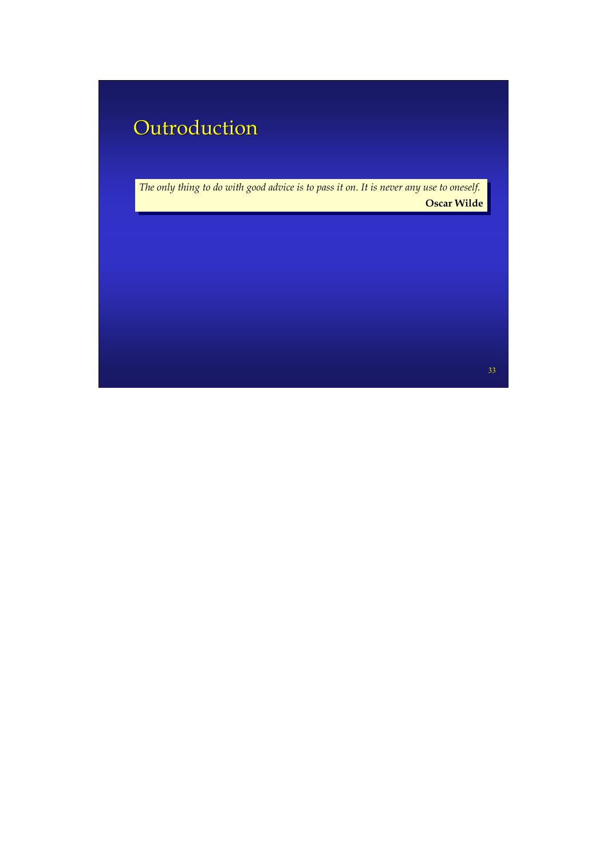## Outroduction

*The only thing to do with good advice is to pass it on. It is never any use to oneself. The only thing to do with good advice is to pass it on. It is never any use to oneself.* **Oscar Wilde Oscar Wilde**